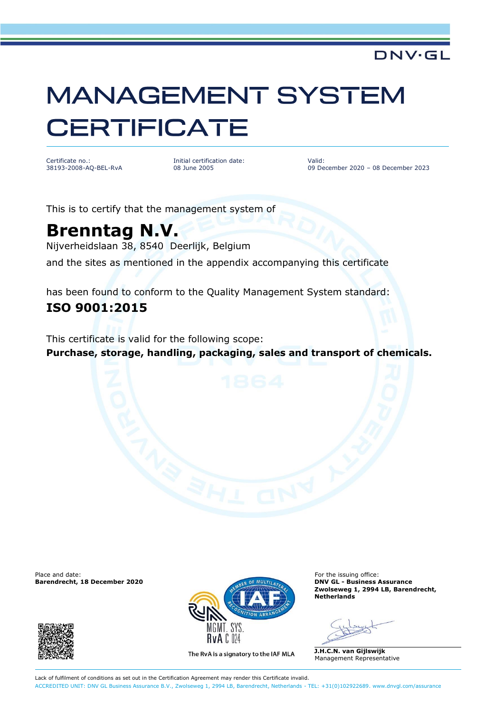## **MANAGEMENT SYSTEM CERTIFICATE**

Certificate no.: 38193-2008-AQ-BEL-RvA Initial certification date: 08 June 2005

Valid: 09 December 2020 – 08 December 2023

DNV·GL

This is to certify that the management system of

## **Brenntag N.V.**

Nijverheidslaan 38, 8540 Deerlijk, Belgium

and the sites as mentioned in the appendix accompanying this certificate

has been found to conform to the Quality Management System standard: **ISO 9001:2015**

This certificate is valid for the following scope:

**Purchase, storage, handling, packaging, sales and transport of chemicals.**

Place and date: For the issuing office:<br> **Barendrecht, 18 December 2020 Exercise Assumence For the issuing office: For the issuing office: Barendrecht, 18 December 2020** 





The RvA is a signatory to the IAF MLA

**Zwolseweg 1, 2994 LB, Barendrecht, Netherlands**

**J.H.C.N. van Gijlswijk** Management Representative

Lack of fulfilment of conditions as set out in the Certification Agreement may render this Certificate invalid. ACCREDITED UNIT: DNV GL Business Assurance B.V., Zwolseweg 1, 2994 LB, Barendrecht, Netherlands - TEL: +31(0)102922689. [www.dnvgl.com/assurance](http://www.dnvgl.com/assurance)